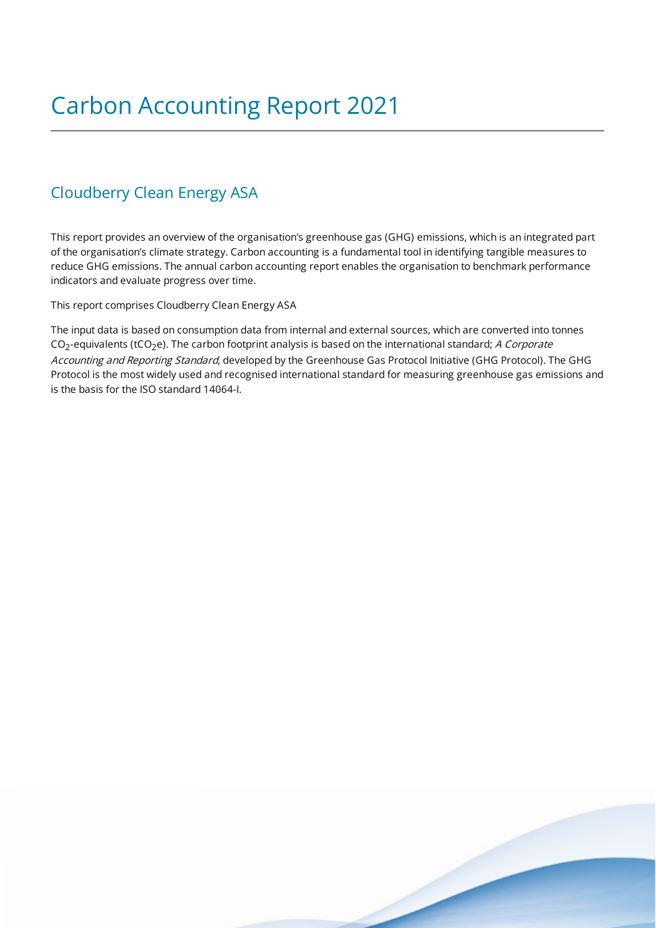### Cloudberry Clean Energy ASA

This report provides an overview of the organisation's greenhouse gas (GHG) emissions, which is an integrated part of the organisation's climate strategy. Carbon accounting is a fundamental tool in identifying tangible measures to reduce GHG emissions. The annual carbon accounting report enables the organisation to benchmark performance indicators and evaluate progress over time.

This report comprises Cloudberry Clean Energy ASA

The input data is based on consumption data from internal and external sources, which are converted into tonnes CO<sub>2</sub>-equivalents (tCO<sub>2</sub>e). The carbon footprint analysis is based on the international standard; *A Corporate* Accounting and Reporting Standard, developed by the Greenhouse Gas Protocol Initiative (GHG Protocol). The GHG Protocol is the most widely used and recognised international standard for measuring greenhouse gas emissions and is the basis for the ISO standard 14064-I.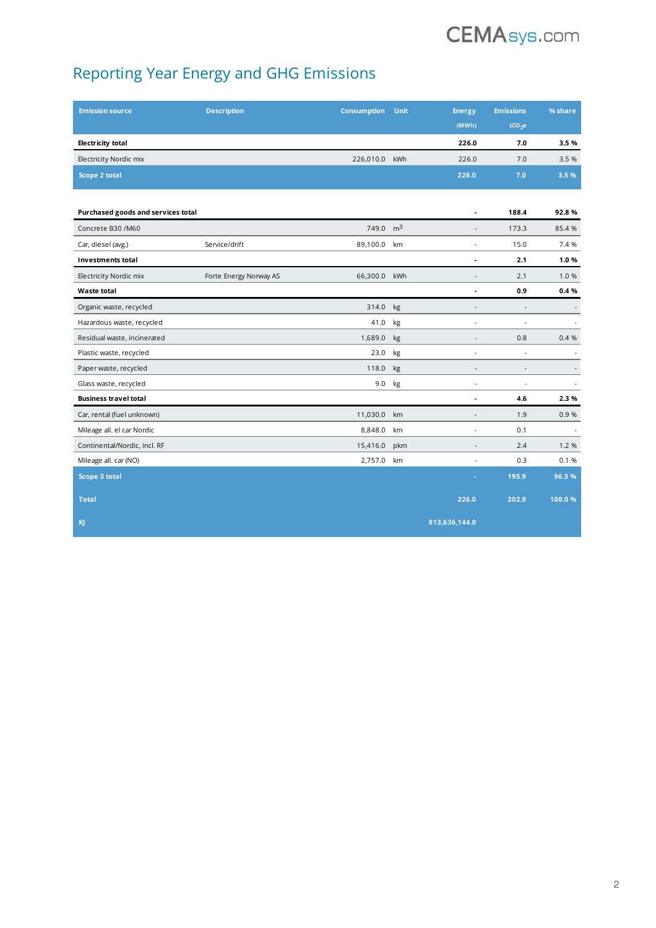# **CEMAsys.com**

## Reporting Year Energy and GHG Emissions

| <b>Emission source</b>             | <b>Description</b>     | <b>Consumption</b> | <b>Unit</b>    | <b>Energy</b>                | <b>Emissions</b>         | % share                  |
|------------------------------------|------------------------|--------------------|----------------|------------------------------|--------------------------|--------------------------|
|                                    |                        |                    |                | (MWh)                        | tCO <sub>2</sub> e       |                          |
| <b>Electricity total</b>           |                        |                    |                | 226.0                        | 7.0                      | 3.5%                     |
| Electricity Nordic mix             |                        | 226,010.0          | kWh            | 226.0                        | 7.0                      | 3.5 %                    |
| Scope 2 total                      |                        |                    |                | 226.0                        | 7.0                      | 3.5 %                    |
|                                    |                        |                    |                |                              |                          |                          |
| Purchased goods and services total |                        |                    |                | ä,                           | 188.4                    | 92.8%                    |
| Concrete B30 /M60                  |                        | 749.0              | m <sup>3</sup> | $\overline{a}$               | 173.3                    | 85.4%                    |
| Car, diesel (avg.)                 | Service/drift          | 89,100.0           | km             | ÷,                           | 15.0                     | 7.4 %                    |
| <b>Investments total</b>           |                        |                    |                | ٠                            | 2.1                      | 1.0%                     |
| Electricity Nordic mix             | Forte Energy Norway AS | 66,300.0           | kWh            | $\centerdot$                 | 2.1                      | 1.0%                     |
| Waste total                        |                        |                    |                | ٠                            | 0.9                      | 0.4%                     |
| Organic waste, recycled            |                        | 314.0              | kg             | $\qquad \qquad \blacksquare$ | $\overline{\phantom{a}}$ | $\overline{\phantom{a}}$ |
| Hazardous waste, recycled          |                        | 41.0               | kg             | $\blacksquare$               | $\sim$                   |                          |
| Residual waste, incinerated        |                        | 1,689.0            | kg             | $\overline{\phantom{a}}$     | 0.8                      | 0.4%                     |
| Plastic waste, recycled            |                        | 23.0               | kg             | ÷,                           | $\overline{a}$           | $\tilde{\phantom{a}}$    |
| Paper waste, recycled              |                        | 118.0              | kg             | $\overline{\phantom{a}}$     | $\overline{a}$           | $\overline{\phantom{a}}$ |
| Glass waste, recycled              |                        | 9.0                | kg             | ÷,                           | $\bar{\phantom{a}}$      | $\blacksquare$           |
| <b>Business travel total</b>       |                        |                    |                | ä,                           | 4.6                      | 2.3%                     |
| Car, rental (fuel unknown)         |                        | 11,030.0           | km             | ä,                           | 1.9                      | 0.9%                     |
| Mileage all. el car Nordic         |                        | 8,848.0            | km             | $\centerdot$                 | 0.1                      |                          |
| Continental/Nordic, incl. RF       |                        | 15,416.0           | pkm            | $\overline{a}$               | 2.4                      | 1.2%                     |
| Mileage all. car (NO)              |                        | 2,757.0            | km             | L,                           | 0.3                      | 0.1%                     |
| Scope 3 total                      |                        |                    |                |                              | 195.9                    | 96.5%                    |
| <b>Total</b>                       |                        |                    |                | 226.0                        | 202.9                    | 100.0%                   |
| KJ                                 |                        |                    |                | 813,636,144.0                |                          |                          |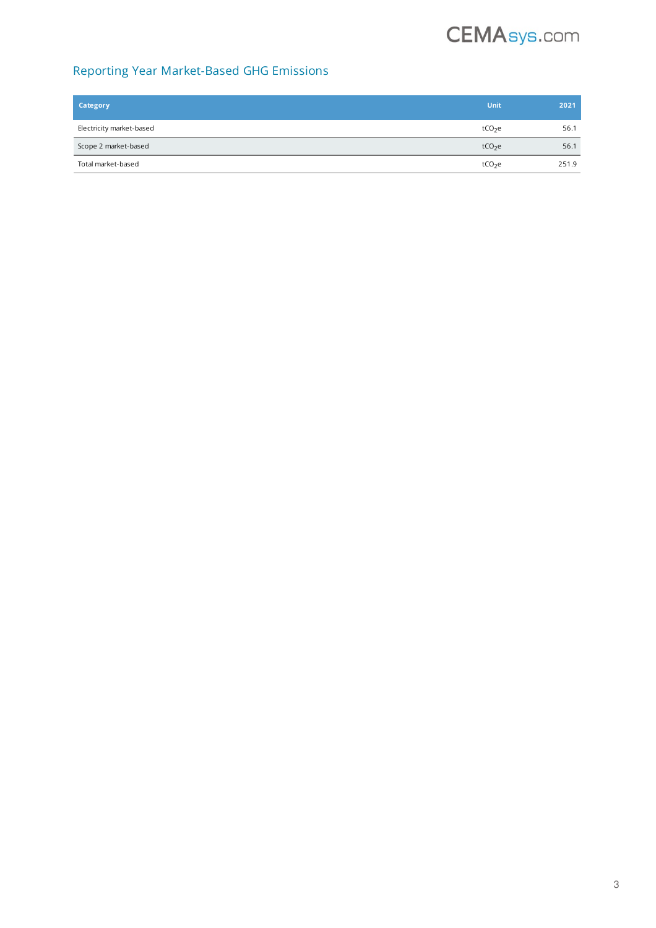## **CEMAsys.com**

#### Reporting Year Market-Based GHG Emissions

| Category                 | Unit               | 2021  |
|--------------------------|--------------------|-------|
| Electricity market-based | tCO <sub>2</sub> e | 56.1  |
| Scope 2 market-based     | tCO <sub>2</sub> e | 56.1  |
| Total market-based       | tCO <sub>2</sub> e | 251.9 |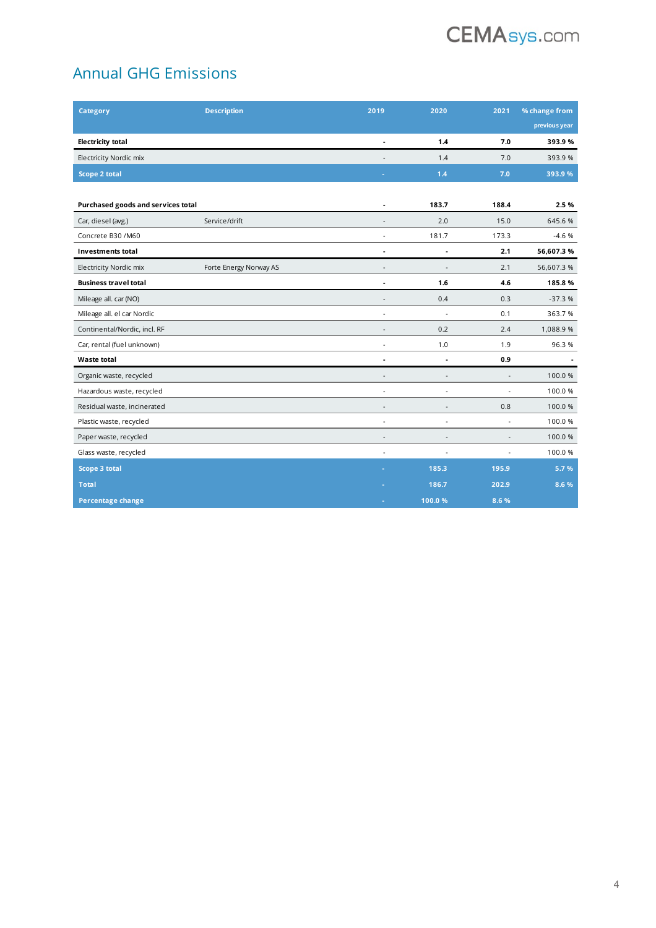

## Annual GHG Emissions

| <b>Category</b>                    | <b>Description</b>     | 2019                     | 2020                     | 2021                     | % change from |
|------------------------------------|------------------------|--------------------------|--------------------------|--------------------------|---------------|
|                                    |                        |                          |                          |                          | previous year |
| <b>Electricity total</b>           |                        |                          | 1.4                      | 7.0                      | 393.9%        |
| Electricity Nordic mix             |                        |                          | 1.4                      | 7.0                      | 393.9%        |
| Scope 2 total                      |                        |                          | 1.4                      | 7.0                      | 393.9%        |
|                                    |                        |                          |                          |                          |               |
| Purchased goods and services total |                        |                          | 183.7                    | 188.4                    | 2.5%          |
| Car, diesel (avg.)                 | Service/drift          | $\overline{a}$           | 2.0                      | 15.0                     | 645.6%        |
| Concrete B30 /M60                  |                        | $\blacksquare$           | 181.7                    | 173.3                    | $-4.6%$       |
| <b>Investments total</b>           |                        | ٠                        | ٠                        | 2.1                      | 56,607.3%     |
| Electricity Nordic mix             | Forte Energy Norway AS |                          |                          | 2.1                      | 56,607.3%     |
| <b>Business travel total</b>       |                        | Ĭ.                       | 1.6                      | 4.6                      | 185.8%        |
| Mileage all. car (NO)              |                        | ٠                        | 0.4                      | 0.3                      | $-37.3%$      |
| Mileage all. el car Nordic         |                        | ä,                       | ÷.                       | 0.1                      | 363.7%        |
| Continental/Nordic, incl. RF       |                        | $\overline{\phantom{a}}$ | 0.2                      | 2.4                      | 1,088.9%      |
| Car, rental (fuel unknown)         |                        | ÷,                       | 1.0                      | 1.9                      | 96.3%         |
| Waste total                        |                        | $\overline{a}$           | $\overline{a}$           | 0.9                      |               |
| Organic waste, recycled            |                        | ۰                        | $\blacksquare$           | $\sim$                   | 100.0%        |
| Hazardous waste, recycled          |                        | ٠                        | ÷,                       | $\ddot{\phantom{1}}$     | 100.0%        |
| Residual waste, incinerated        |                        | ÷,                       | $\overline{a}$           | 0.8                      | 100.0%        |
| Plastic waste, recycled            |                        | $\sim$                   | ÷.                       | $\overline{\phantom{a}}$ | 100.0%        |
| Paper waste, recycled              |                        | ÷                        | $\overline{\phantom{a}}$ | $\overline{\phantom{a}}$ | 100.0%        |
| Glass waste, recycled              |                        | ÷.                       | $\ddot{\phantom{1}}$     | $\overline{a}$           | 100.0%        |
| Scope 3 total                      |                        |                          | 185.3                    | 195.9                    | 5.7%          |
| <b>Total</b>                       |                        |                          | 186.7                    | 202.9                    | 8.6 %         |
| <b>Percentage change</b>           |                        |                          | 100.0%                   | 8.6 %                    |               |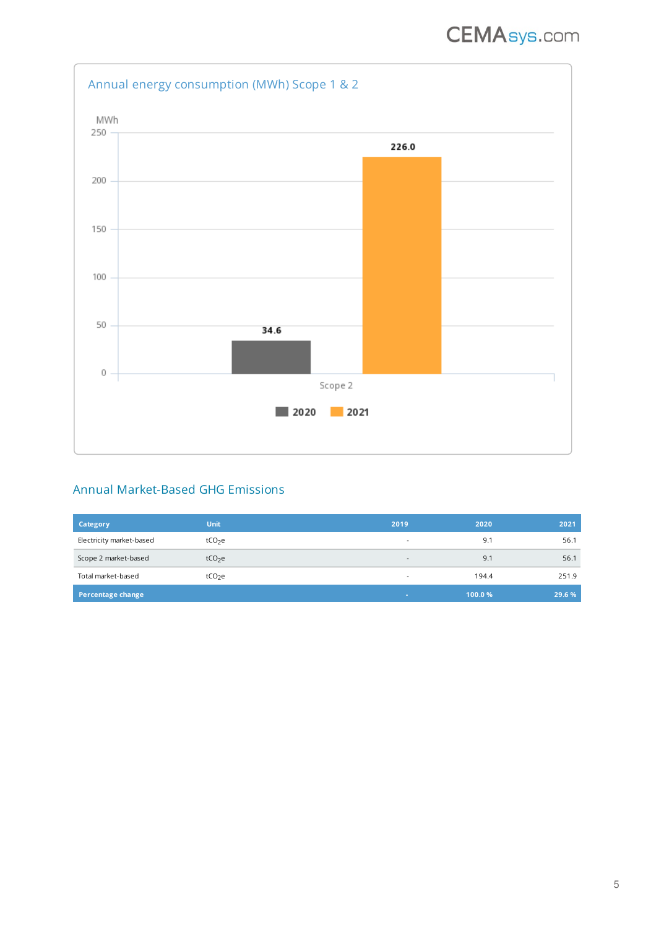

#### Annual Market-Based GHG Emissions

| Category                 | Unit               | 2019                     | 2020   | 2021   |
|--------------------------|--------------------|--------------------------|--------|--------|
| Electricity market-based | tCO <sub>2</sub> e | $\overline{\phantom{a}}$ | 9.1    | 56.1   |
| Scope 2 market-based     | tCO <sub>2</sub> e | $\overline{\phantom{a}}$ | 9.1    | 56.1   |
| Total market-based       | tCO <sub>2</sub> e | $\overline{\phantom{a}}$ | 194.4  | 251.9  |
| Percentage change        |                    |                          | 100.0% | 29.6 % |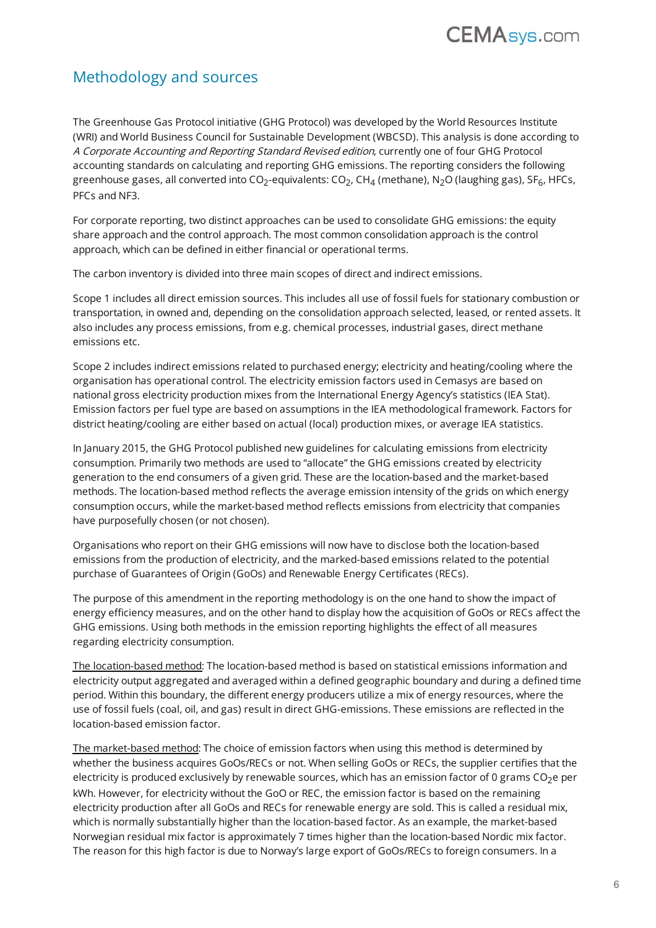## **CEMAsys.com**

### Methodology and sources

The Greenhouse Gas Protocol initiative (GHG Protocol) was developed by the World Resources Institute (WRI) and World Business Council for Sustainable Development (WBCSD). This analysis is done according to A Corporate Accounting and Reporting Standard Revised edition, currently one of four GHG Protocol accounting standards on calculating and reporting GHG emissions. The reporting considers the following greenhouse gases, all converted into CO<sub>2</sub>-equivalents: CO<sub>2</sub>, CH<sub>4</sub> (methane), N<sub>2</sub>O (laughing gas), SF<sub>6</sub>, HFCs, PFCs and NF3.

For corporate reporting, two distinct approaches can be used to consolidate GHG emissions: the equity share approach and the control approach. The most common consolidation approach is the control approach, which can be defined in either financial or operational terms.

The carbon inventory is divided into three main scopes of direct and indirect emissions.

Scope 1 includes all direct emission sources. This includes all use of fossil fuels for stationary combustion or transportation, in owned and, depending on the consolidation approach selected, leased, or rented assets. It also includes any process emissions, from e.g. chemical processes, industrial gases, direct methane emissions etc.

Scope 2 includes indirect emissions related to purchased energy; electricity and heating/cooling where the organisation has operational control. The electricity emission factors used in Cemasys are based on national gross electricity production mixes from the International Energy Agency's statistics (IEA Stat). Emission factors per fuel type are based on assumptions in the IEA methodological framework. Factors for district heating/cooling are either based on actual (local) production mixes, or average IEA statistics.

In January 2015, the GHG Protocol published new guidelines for calculating emissions from electricity consumption. Primarily two methods are used to "allocate" the GHG emissions created by electricity generation to the end consumers of a given grid. These are the location-based and the market-based methods. The location-based method reflects the average emission intensity of the grids on which energy consumption occurs, while the market-based method reflects emissions from electricity that companies have purposefully chosen (or not chosen).

Organisations who report on their GHG emissions will now have to disclose both the location-based emissions from the production of electricity, and the marked-based emissions related to the potential purchase of Guarantees of Origin (GoOs) and Renewable Energy Certificates (RECs).

The purpose of this amendment in the reporting methodology is on the one hand to show the impact of energy efficiency measures, and on the other hand to display how the acquisition of GoOs or RECs affect the GHG emissions. Using both methods in the emission reporting highlights the effect of all measures regarding electricity consumption.

The location-based method: The location-based method is based on statistical emissions information and electricity output aggregated and averaged within a defined geographic boundary and during a defined time period. Within this boundary, the different energy producers utilize a mix of energy resources, where the use of fossil fuels (coal, oil, and gas) result in direct GHG-emissions. These emissions are reflected in the location-based emission factor.

The market-based method: The choice of emission factors when using this method is determined by whether the business acquires GoOs/RECs or not. When selling GoOs or RECs, the supplier certifies that the electricity is produced exclusively by renewable sources, which has an emission factor of 0 grams  $CO<sub>2</sub>e$  per kWh. However, for electricity without the GoO or REC, the emission factor is based on the remaining electricity production after all GoOs and RECs for renewable energy are sold. This is called a residual mix, which is normally substantially higher than the location-based factor. As an example, the market-based Norwegian residual mix factor is approximately 7 times higher than the location-based Nordic mix factor. The reason for this high factor is due to Norway's large export of GoOs/RECs to foreign consumers. In a